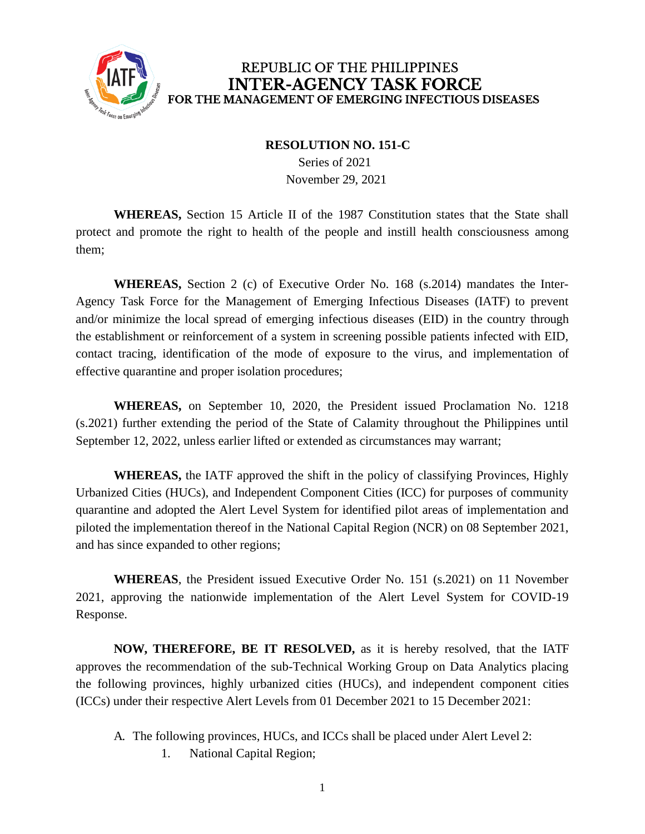

## REPUBLIC OF THE PHILIPPINES **INTER-AGENCY TASK FORCE** FOR THE MANAGEMENT OF EMERGING INFECTIOUS DISEASES

## **RESOLUTION NO. 151-C**

Series of 2021 November 29, 2021

**WHEREAS,** Section 15 Article II of the 1987 Constitution states that the State shall protect and promote the right to health of the people and instill health consciousness among them;

**WHEREAS,** Section 2 (c) of Executive Order No. 168 (s.2014) mandates the Inter-Agency Task Force for the Management of Emerging Infectious Diseases (IATF) to prevent and/or minimize the local spread of emerging infectious diseases (EID) in the country through the establishment or reinforcement of a system in screening possible patients infected with EID, contact tracing, identification of the mode of exposure to the virus, and implementation of effective quarantine and proper isolation procedures;

**WHEREAS,** on September 10, 2020, the President issued Proclamation No. 1218 (s.2021) further extending the period of the State of Calamity throughout the Philippines until September 12, 2022, unless earlier lifted or extended as circumstances may warrant;

**WHEREAS,** the IATF approved the shift in the policy of classifying Provinces, Highly Urbanized Cities (HUCs), and Independent Component Cities (ICC) for purposes of community quarantine and adopted the Alert Level System for identified pilot areas of implementation and piloted the implementation thereof in the National Capital Region (NCR) on 08 September 2021, and has since expanded to other regions;

**WHEREAS**, the President issued Executive Order No. 151 (s.2021) on 11 November 2021, approving the nationwide implementation of the Alert Level System for COVID-19 Response.

**NOW, THEREFORE, BE IT RESOLVED,** as it is hereby resolved, that the IATF approves the recommendation of the sub-Technical Working Group on Data Analytics placing the following provinces, highly urbanized cities (HUCs), and independent component cities (ICCs) under their respective Alert Levels from 01 December 2021 to 15 December 2021:

1. National Capital Region;

A. The following provinces, HUCs, and ICCs shall be placed under Alert Level 2: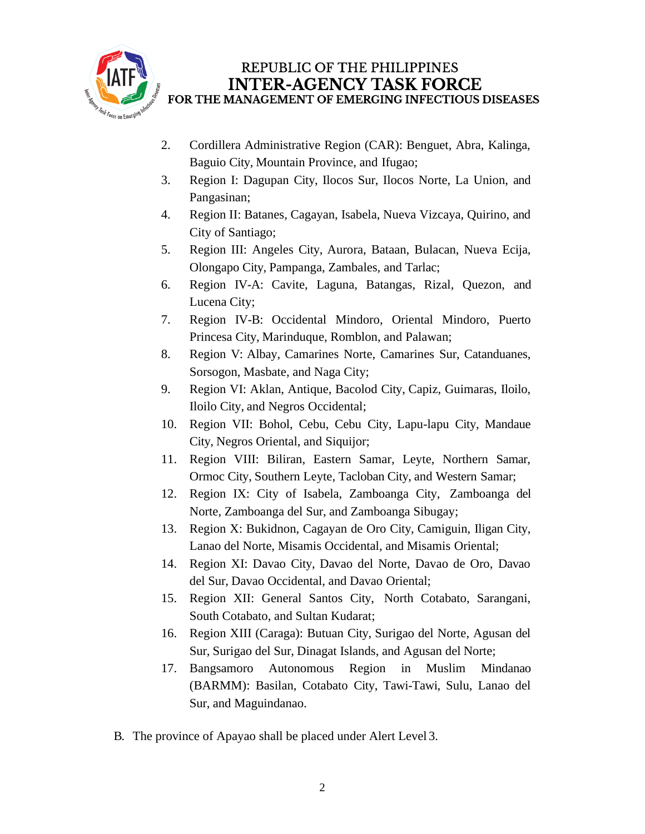

## REPUBLIC OF THE PHILIPPINES **INTER-AGENCY TASK FORCE** FOR THE MANAGEMENT OF EMERGING INFECTIOUS DISEASES

- 2. Cordillera Administrative Region (CAR): Benguet, Abra, Kalinga, Baguio City, Mountain Province, and Ifugao;
- 3. Region I: Dagupan City, Ilocos Sur, Ilocos Norte, La Union, and Pangasinan;
- 4. Region II: Batanes, Cagayan, Isabela, Nueva Vizcaya, Quirino, and City of Santiago;
- 5. Region III: Angeles City, Aurora, Bataan, Bulacan, Nueva Ecija, Olongapo City, Pampanga, Zambales, and Tarlac;
- 6. Region IV-A: Cavite, Laguna, Batangas, Rizal, Quezon, and Lucena City;
- 7. Region IV-B: Occidental Mindoro, Oriental Mindoro, Puerto Princesa City, Marinduque, Romblon, and Palawan;
- 8. Region V: Albay, Camarines Norte, Camarines Sur, Catanduanes, Sorsogon, Masbate, and Naga City;
- 9. Region VI: Aklan, Antique, Bacolod City, Capiz, Guimaras, Iloilo, Iloilo City, and Negros Occidental;
- 10. Region VII: Bohol, Cebu, Cebu City, Lapu-lapu City, Mandaue City, Negros Oriental, and Siquijor;
- 11. Region VIII: Biliran, Eastern Samar, Leyte, Northern Samar, Ormoc City, Southern Leyte, Tacloban City, and Western Samar;
- 12. Region IX: City of Isabela, Zamboanga City, Zamboanga del Norte, Zamboanga del Sur, and Zamboanga Sibugay;
- 13. Region X: Bukidnon, Cagayan de Oro City, Camiguin, Iligan City, Lanao del Norte, Misamis Occidental, and Misamis Oriental;
- 14. Region XI: Davao City, Davao del Norte, Davao de Oro, Davao del Sur, Davao Occidental, and Davao Oriental;
- 15. Region XII: General Santos City, North Cotabato, Sarangani, South Cotabato, and Sultan Kudarat;
- 16. Region XIII (Caraga): Butuan City, Surigao del Norte, Agusan del Sur, Surigao del Sur, Dinagat Islands, and Agusan del Norte;
- 17. Bangsamoro Autonomous Region in Muslim Mindanao (BARMM): Basilan, Cotabato City, Tawi-Tawi, Sulu, Lanao del Sur, and Maguindanao.
- B. The province of Apayao shall be placed under Alert Level 3.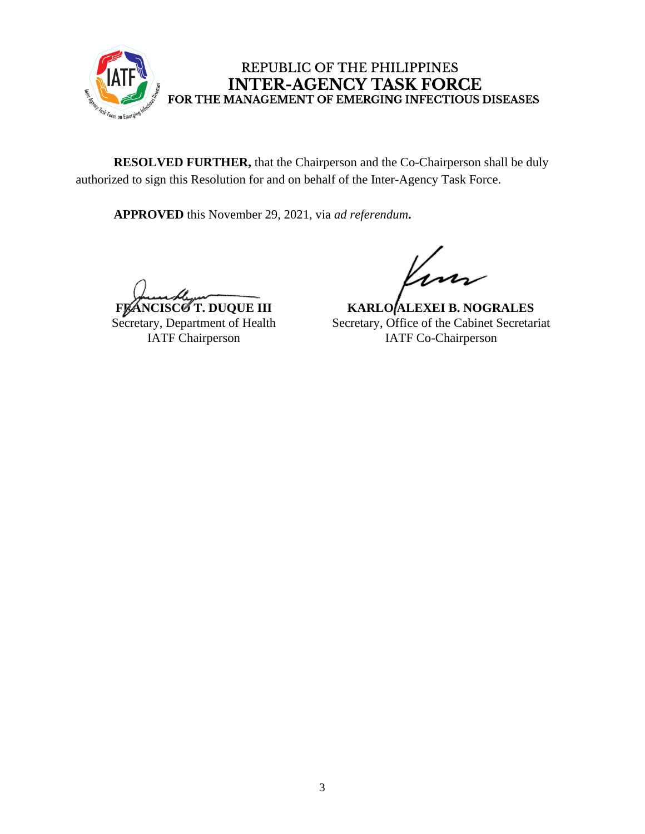

REPUBLIC OF THE PHILIPPINES **INTER-AGENCY TASK FORCE** FOR THE MANAGEMENT OF EMERGING INFECTIOUS DISEASES

**RESOLVED FURTHER,** that the Chairperson and the Co-Chairperson shall be duly authorized to sign this Resolution for and on behalf of the Inter-Agency Task Force.

**APPROVED** this November 29, 2021, via *ad referendum***.**

**FRANCISCO T. DUQUE III** Secretary, Department of Health IATF Chairperson

**KARLO ALEXEI B. NOGRALES** Secretary, Office of the Cabinet Secretariat IATF Co-Chairperson